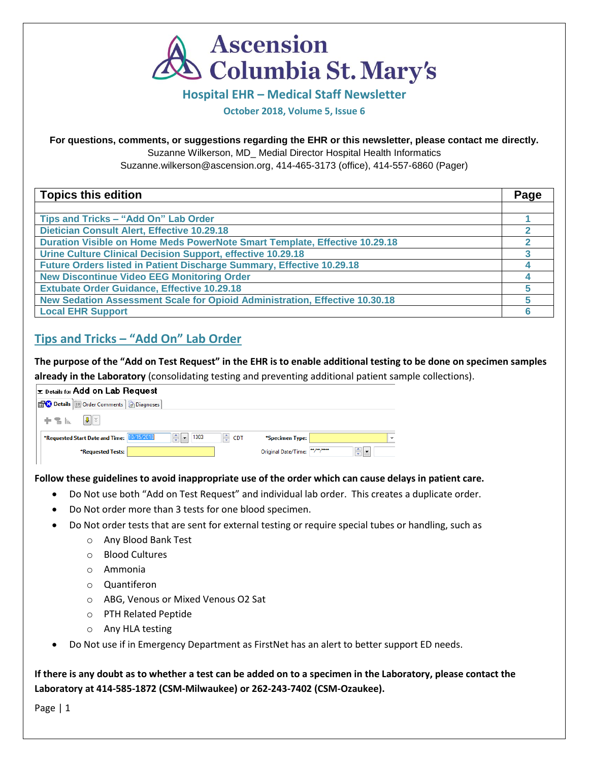

### **Hospital EHR – Medical Staff Newsletter**

**October 2018, Volume 5, Issue 6**

### **For questions, comments, or suggestions regarding the EHR or this newsletter, please contact me directly.**

Suzanne Wilkerson, MD\_ Medial Director Hospital Health Informatics

Suzanne.wilkerson@ascension.org, 414-465-3173 (office), 414-557-6860 (Pager)

| <b>Topics this edition</b>                                                  | Page |
|-----------------------------------------------------------------------------|------|
|                                                                             |      |
| Tips and Tricks - "Add On" Lab Order                                        |      |
| <b>Dietician Consult Alert, Effective 10.29.18</b>                          |      |
| Duration Visible on Home Meds PowerNote Smart Template, Effective 10.29.18  |      |
| Urine Culture Clinical Decision Support, effective 10.29.18                 |      |
| Future Orders listed in Patient Discharge Summary, Effective 10.29.18       |      |
| <b>New Discontinue Video EEG Monitoring Order</b>                           |      |
| <b>Extubate Order Guidance, Effective 10.29.18</b>                          |      |
| New Sedation Assessment Scale for Opioid Administration, Effective 10.30.18 |      |
| <b>Local EHR Support</b>                                                    |      |

# **Tips and Tricks – "Add On" Lab Order**

**The purpose of the "Add on Test Request" in the EHR is to enable additional testing to be done on specimen samples** 

**already in the Laboratory** (consolidating testing and preventing additional patient sample collections).

|           | $\vert$ $\mathbf{x}$ Details for Add on Lab Request |                                                    |       |                            |                |              |
|-----------|-----------------------------------------------------|----------------------------------------------------|-------|----------------------------|----------------|--------------|
|           | Diagnoses                                           |                                                    |       |                            |                |              |
| $+$ 3 lb. | $\parallel$ U $\parallel$ $\approx$                 |                                                    |       |                            |                |              |
|           | *Requested Start Date and Time: 10/15/2018          | $  \Leftrightarrow$   $\blacktriangleright$   1303 | † CDT | *Specimen Type:            |                | $\checkmark$ |
|           | *Requested Tests:                                   |                                                    |       | Original Date/Time: "/"/"" | $\div$ $\vert$ |              |
|           |                                                     |                                                    |       |                            |                |              |

### **Follow these guidelines to avoid inappropriate use of the order which can cause delays in patient care.**

- Do Not use both "Add on Test Request" and individual lab order. This creates a duplicate order.
- Do Not order more than 3 tests for one blood specimen.
- Do Not order tests that are sent for external testing or require special tubes or handling, such as
	- o Any Blood Bank Test
	- o Blood Cultures
	- o Ammonia
	- o Quantiferon
	- o ABG, Venous or Mixed Venous O2 Sat
	- o PTH Related Peptide
	- o Any HLA testing
- Do Not use if in Emergency Department as FirstNet has an alert to better support ED needs.

**If there is any doubt as to whether a test can be added on to a specimen in the Laboratory, please contact the Laboratory at 414-585-1872 (CSM-Milwaukee) or 262-243-7402 (CSM-Ozaukee).**

Page | 1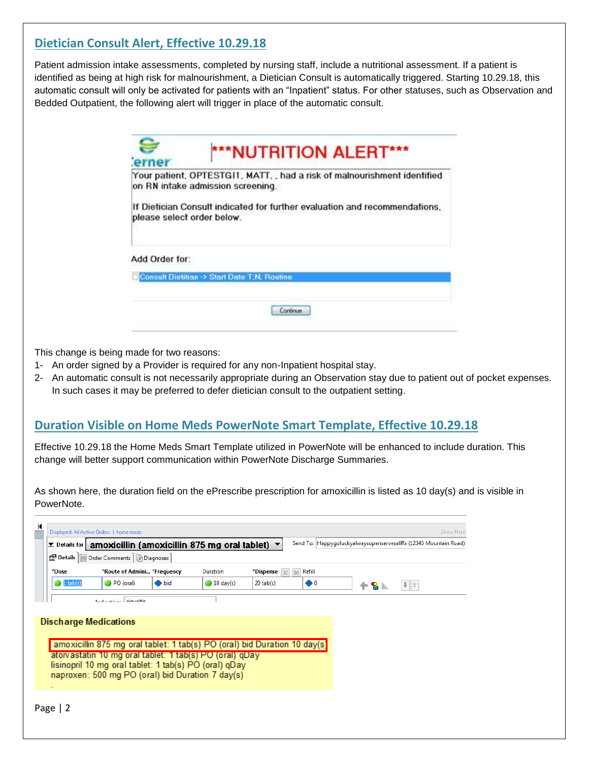## **Dietician Consult Alert, Effective 10.29.18**

Patient admission intake assessments, completed by nursing staff, include a nutritional assessment. If a patient is identified as being at high risk for malnourishment, a Dietician Consult is automatically triggered. Starting 10.29.18, this automatic consult will only be activated for patients with an "Inpatient" status. For other statuses, such as Observation and Bedded Outpatient, the following alert will trigger in place of the automatic consult.

|                | Your patient, OPTESTG11, MATT, , had a risk of malnourishment identified<br>on RN intake admission screening. |
|----------------|---------------------------------------------------------------------------------------------------------------|
|                | If Dietician Consult indicated for further evaluation and recommendations.<br>please select order below.      |
| Add Order for: |                                                                                                               |
|                | <b>Consult Dietition -&gt; Start Date T;N, Routine</b>                                                        |

This change is being made for two reasons:

- 1- An order signed by a Provider is required for any non-Inpatient hospital stay.
- 2- An automatic consult is not necessarily appropriate during an Observation stay due to patient out of pocket expenses. In such cases it may be preferred to defer dietician consult to the outpatient setting.

### **Duration Visible on Home Meds PowerNote Smart Template, Effective 10.29.18**

Effective 10.29.18 the Home Meds Smart Template utilized in PowerNote will be enhanced to include duration. This change will better support communication within PowerNote Discharge Summaries.

As shown here, the duration field on the ePrescribe prescription for amoxicillin is listed as 10 day(s) and is visible in PowerNote.

| $\Sigma$ Details for $\parallel$ | amoxicillin (amoxicillin 875 mg oral tablet)                                                                                                                         |               |                      |                |                          | Send To: HappygoluckyalwaysopenservesallRx (12345 Mountain Road) |
|----------------------------------|----------------------------------------------------------------------------------------------------------------------------------------------------------------------|---------------|----------------------|----------------|--------------------------|------------------------------------------------------------------|
|                                  | Details   Details   Diagnoses                                                                                                                                        |               |                      |                |                          |                                                                  |
| *Dose                            | *Route of Admini *Frequency                                                                                                                                          |               | Duration             | *Dispense [30] | Refill<br>Q <sub>0</sub> |                                                                  |
| $1$ tab(s)                       | PO (oral)                                                                                                                                                            |               |                      |                |                          |                                                                  |
|                                  | Indication: sinusitis<br><b>Discharge Medications</b>                                                                                                                | $\bullet$ bid | $\bigcirc$ 10 day(s) | $20$ tab $(s)$ | $\bullet$                | $  \cdot   \times$<br>$+$ 8 $\mathbb{R}$                         |
|                                  | amoxicillin 875 mg oral tablet: 1 tab(s) PO (oral) bid Duration 10 day(s)                                                                                            |               |                      |                |                          |                                                                  |
|                                  | atorvastatin 10 mg oral tablet: 1 tab(s) PO (oral) qDay<br>lisinopril 10 mg oral tablet: 1 tab(s) PO (oral) qDay<br>naproxen: 500 mg PO (oral) bid Duration 7 day(s) |               |                      |                |                          |                                                                  |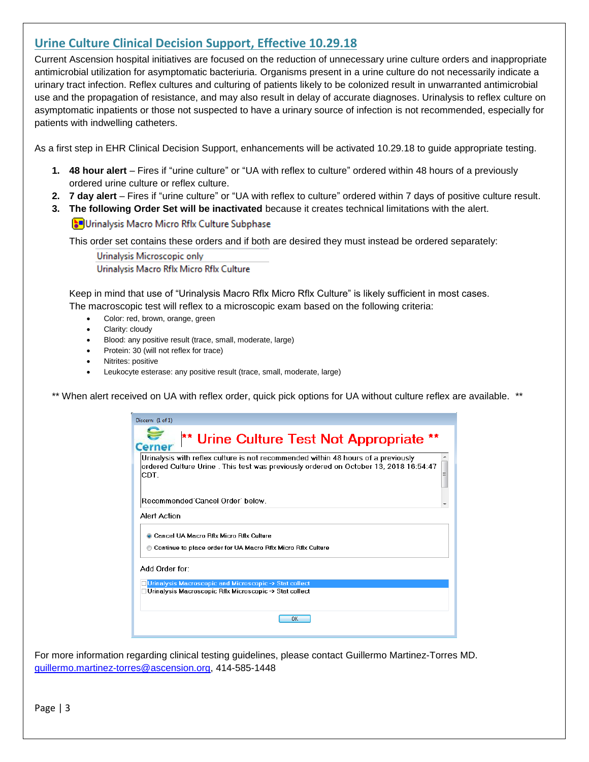### **Urine Culture Clinical Decision Support, Effective 10.29.18**

Current Ascension hospital initiatives are focused on the reduction of unnecessary urine culture orders and inappropriate antimicrobial utilization for asymptomatic bacteriuria. Organisms present in a urine culture do not necessarily indicate a urinary tract infection. Reflex cultures and culturing of patients likely to be colonized result in unwarranted antimicrobial use and the propagation of resistance, and may also result in delay of accurate diagnoses. Urinalysis to reflex culture on asymptomatic inpatients or those not suspected to have a urinary source of infection is not recommended, especially for patients with indwelling catheters.

As a first step in EHR Clinical Decision Support, enhancements will be activated 10.29.18 to guide appropriate testing.

- **1. 48 hour alert** Fires if "urine culture" or "UA with reflex to culture" ordered within 48 hours of a previously ordered urine culture or reflex culture.
- **2. 7 day alert** Fires if "urine culture" or "UA with reflex to culture" ordered within 7 days of positive culture result.
- **3. The following Order Set will be inactivated** because it creates technical limitations with the alert.

**S**Urinalysis Macro Micro Rflx Culture Subphase

This order set contains these orders and if both are desired they must instead be ordered separately:

Urinalysis Microscopic only Urinalysis Macro Rflx Micro Rflx Culture

Keep in mind that use of "Urinalysis Macro Rflx Micro Rflx Culture" is likely sufficient in most cases.

The macroscopic test will reflex to a microscopic exam based on the following criteria:

- Color: red, brown, orange, green
- Clarity: cloudy
- Blood: any positive result (trace, small, moderate, large)
- Protein: 30 (will not reflex for trace)
- Nitrites: positive
- Leukocyte esterase: any positive result (trace, small, moderate, large)

\*\* When alert received on UA with reflex order, quick pick options for UA without culture reflex are available. \*\*

| Discern: (1 of 1)                                                                                                                                                                   |
|-------------------------------------------------------------------------------------------------------------------------------------------------------------------------------------|
| ** Urine Culture Test Not Appropriate<br>Cerner                                                                                                                                     |
| Urinalysis with reflex culture is not recommended within 48 hours of a previously<br>ordered Culture Urine . This test was previously ordered on October 13, 2018 16:54:47<br>ICDT. |
| Recommended Cancel Order' below.                                                                                                                                                    |
| Alert Action                                                                                                                                                                        |
| <b>Cancel UA Macro Rflx Micro Rflx Culture</b><br>Continue to place order for UA Macro Rflx Micro Rflx Culture                                                                      |
| Add Order for:                                                                                                                                                                      |
| Urinalysis Macroscopic and Microscopic -> Stat collect                                                                                                                              |
| Urinalysis Macroscopic Rflx Microscopic -> Stat collect                                                                                                                             |
| ΩK                                                                                                                                                                                  |

For more information regarding clinical testing guidelines, please contact Guillermo Martinez-Torres MD. [guillermo.martinez-torres@ascension.org,](mailto:guillermo.martinez-torres@ascension.org) 414-585-1448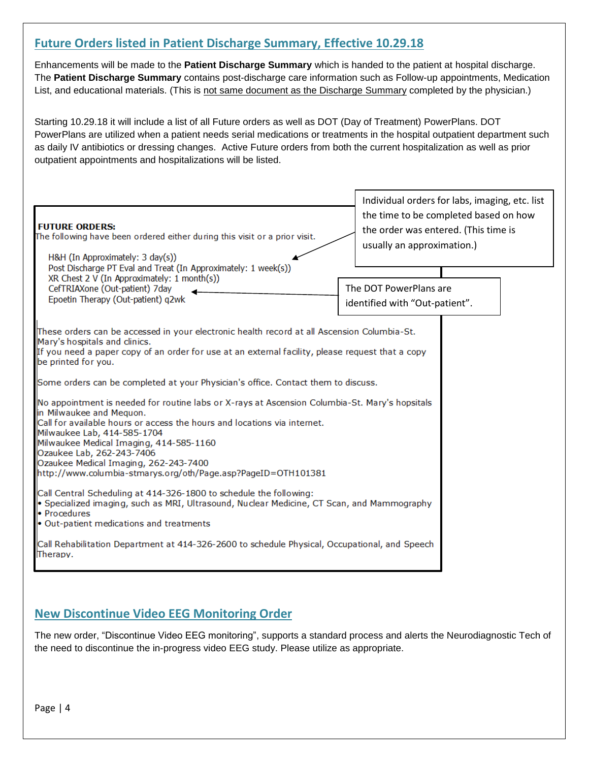## **Future Orders listed in Patient Discharge Summary, Effective 10.29.18**

Enhancements will be made to the **Patient Discharge Summary** which is handed to the patient at hospital discharge. The **Patient Discharge Summary** contains post-discharge care information such as Follow-up appointments, Medication List, and educational materials. (This is not same document as the Discharge Summary completed by the physician.)

Starting 10.29.18 it will include a list of all Future orders as well as DOT (Day of Treatment) PowerPlans. DOT PowerPlans are utilized when a patient needs serial medications or treatments in the hospital outpatient department such as daily IV antibiotics or dressing changes. Active Future orders from both the current hospitalization as well as prior outpatient appointments and hospitalizations will be listed.

| <b>FUTURE ORDERS:</b><br>The following have been ordered either during this visit or a prior visit.<br>H&H (In Approximately: 3 day(s))<br>Post Discharge PT Eval and Treat (In Approximately: 1 week(s))<br>XR Chest 2 V (In Approximately: 1 month(s))                                                                                                                                                                | Individual orders for labs, imaging, etc. list<br>the time to be completed based on how<br>the order was entered. (This time is<br>usually an approximation.) |
|-------------------------------------------------------------------------------------------------------------------------------------------------------------------------------------------------------------------------------------------------------------------------------------------------------------------------------------------------------------------------------------------------------------------------|---------------------------------------------------------------------------------------------------------------------------------------------------------------|
| CefTRIAXone (Out-patient) 7day<br>Epoetin Therapy (Out-patient) q2wk                                                                                                                                                                                                                                                                                                                                                    | The DOT PowerPlans are<br>identified with "Out-patient".                                                                                                      |
| These orders can be accessed in your electronic health record at all Ascension Columbia-St.<br>Mary's hospitals and clinics.<br>If you need a paper copy of an order for use at an external facility, please request that a copy<br>be printed for you.                                                                                                                                                                 |                                                                                                                                                               |
| Some orders can be completed at your Physician's office. Contact them to discuss.                                                                                                                                                                                                                                                                                                                                       |                                                                                                                                                               |
| No appointment is needed for routine labs or X-rays at Ascension Columbia-St. Mary's hopsitals<br>in Milwaukee and Mequon.<br>Call for available hours or access the hours and locations via internet.<br>Milwaukee Lab, 414-585-1704<br>Milwaukee Medical Imaging, 414-585-1160<br>Ozaukee Lab, 262-243-7406<br>Ozaukee Medical Imaging, 262-243-7400<br>http://www.columbia-stmarys.org/oth/Page.asp?PageID=OTH101381 |                                                                                                                                                               |
| Call Central Scheduling at 414-326-1800 to schedule the following:<br>Specialized imaging, such as MRI, Ultrasound, Nuclear Medicine, CT Scan, and Mammography<br>· Procedures<br>Out-patient medications and treatments                                                                                                                                                                                                |                                                                                                                                                               |
| Call Rehabilitation Department at 414-326-2600 to schedule Physical, Occupational, and Speech<br>Therapy.                                                                                                                                                                                                                                                                                                               |                                                                                                                                                               |

# **New Discontinue Video EEG Monitoring Order**

The new order, "Discontinue Video EEG monitoring", supports a standard process and alerts the Neurodiagnostic Tech of the need to discontinue the in-progress video EEG study. Please utilize as appropriate.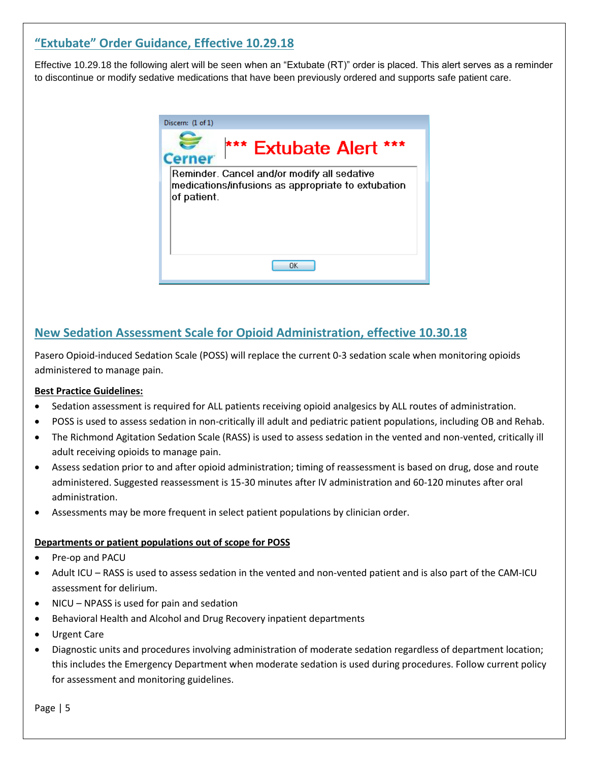# **"Extubate" Order Guidance, Effective 10.29.18**

Effective 10.29.18 the following alert will be seen when an "Extubate (RT)" order is placed. This alert serves as a reminder to discontinue or modify sedative medications that have been previously ordered and supports safe patient care.



# **New Sedation Assessment Scale for Opioid Administration, effective 10.30.18**

Pasero Opioid-induced Sedation Scale (POSS) will replace the current 0-3 sedation scale when monitoring opioids administered to manage pain.

### **Best Practice Guidelines:**

- Sedation assessment is required for ALL patients receiving opioid analgesics by ALL routes of administration.
- POSS is used to assess sedation in non-critically ill adult and pediatric patient populations, including OB and Rehab.
- The Richmond Agitation Sedation Scale (RASS) is used to assess sedation in the vented and non-vented, critically ill adult receiving opioids to manage pain.
- Assess sedation prior to and after opioid administration; timing of reassessment is based on drug, dose and route administered. Suggested reassessment is 15-30 minutes after IV administration and 60-120 minutes after oral administration.
- Assessments may be more frequent in select patient populations by clinician order.

#### **Departments or patient populations out of scope for POSS**

- Pre-op and PACU
- Adult ICU RASS is used to assess sedation in the vented and non-vented patient and is also part of the CAM-ICU assessment for delirium.
- NICU NPASS is used for pain and sedation
- Behavioral Health and Alcohol and Drug Recovery inpatient departments
- Urgent Care
- Diagnostic units and procedures involving administration of moderate sedation regardless of department location; this includes the Emergency Department when moderate sedation is used during procedures. Follow current policy for assessment and monitoring guidelines.

Page | 5